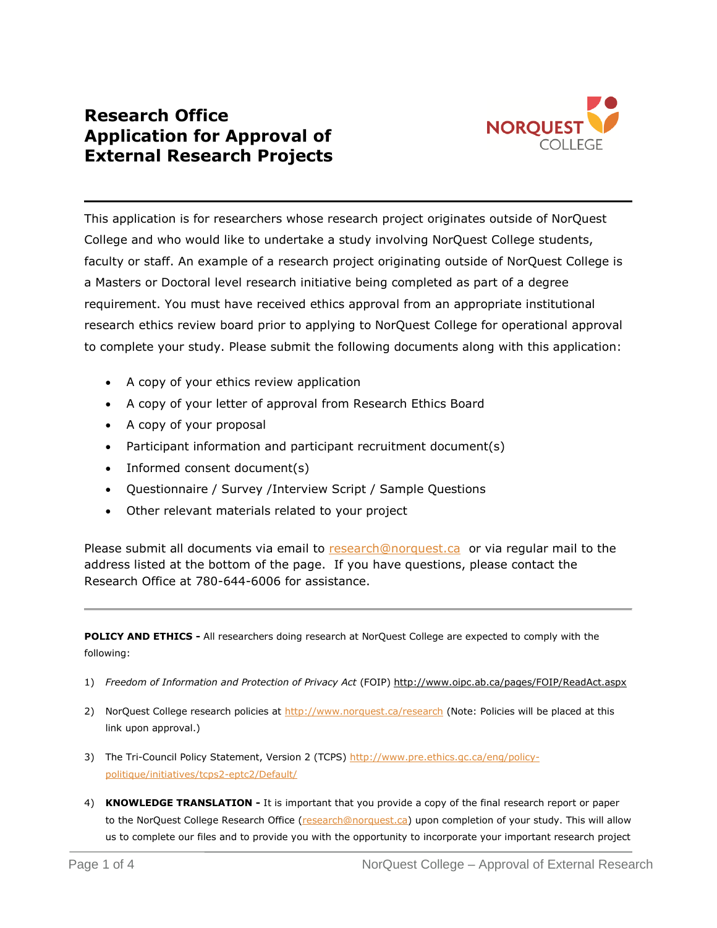## **Research Office Application for Approval of External Research Projects**



This application is for researchers whose research project originates outside of NorQuest College and who would like to undertake a study involving NorQuest College students, faculty or staff. An example of a research project originating outside of NorQuest College is a Masters or Doctoral level research initiative being completed as part of a degree requirement. You must have received ethics approval from an appropriate institutional research ethics review board prior to applying to NorQuest College for operational approval to complete your study. Please submit the following documents along with this application:

- A copy of your ethics review application
- A copy of your letter of approval from Research Ethics Board
- A copy of your proposal
- Participant information and participant recruitment document(s)
- Informed consent document(s)
- Questionnaire / Survey /Interview Script / Sample Questions
- Other relevant materials related to your project

Please submit all documents via email to [research@norquest.ca](mailto:research@norquest.ca) or via regular mail to the address listed at the bottom of the page. If you have questions, please contact the Research Office at 780-644-6006 for assistance.

**POLICY AND ETHICS -** All researchers doing research at NorQuest College are expected to comply with the following:

- 1) *Freedom of Information and Protection of Privacy Act* (FOIP)<http://www.oipc.ab.ca/pages/FOIP/ReadAct.aspx>
- 2) NorQuest College research policies at <http://www.norquest.ca/research> (Note: Policies will be placed at this link upon approval.)
- 3) The Tri-Council Policy Statement, Version 2 (TCPS) [http://www.pre.ethics.gc.ca/eng/policy](http://www.pre.ethics.gc.ca/eng/policy-politique/initiatives/tcps2-eptc2/Default/)[politique/initiatives/tcps2-eptc2/Default/](http://www.pre.ethics.gc.ca/eng/policy-politique/initiatives/tcps2-eptc2/Default/)
- 4) **KNOWLEDGE TRANSLATION -** It is important that you provide a copy of the final research report or paper to the NorQuest College Research Office [\(research@norquest.ca\)](mailto:research@norquest.ca) upon completion of your study. This will allow us to complete our files and to provide you with the opportunity to incorporate your important research project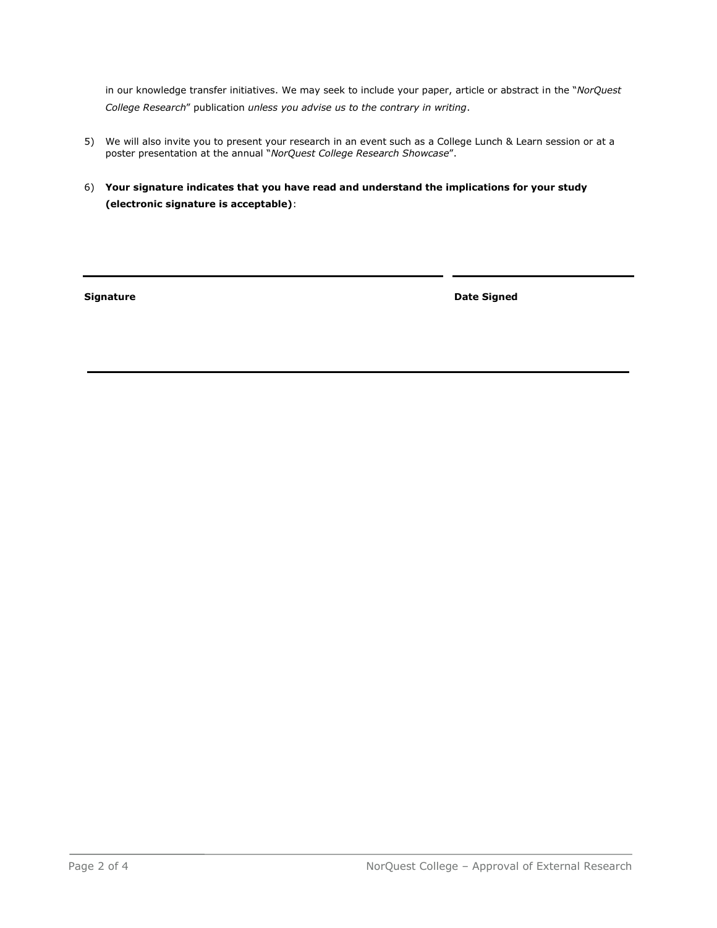in our knowledge transfer initiatives. We may seek to include your paper, article or abstract in the "*NorQuest College Research*" publication *unless you advise us to the contrary in writing*.

- 5) We will also invite you to present your research in an event such as a College Lunch & Learn session or at a poster presentation at the annual "*NorQuest College Research Showcase*".
- 6) **Your signature indicates that you have read and understand the implications for your study (electronic signature is acceptable)**:

**Signature Date Signed**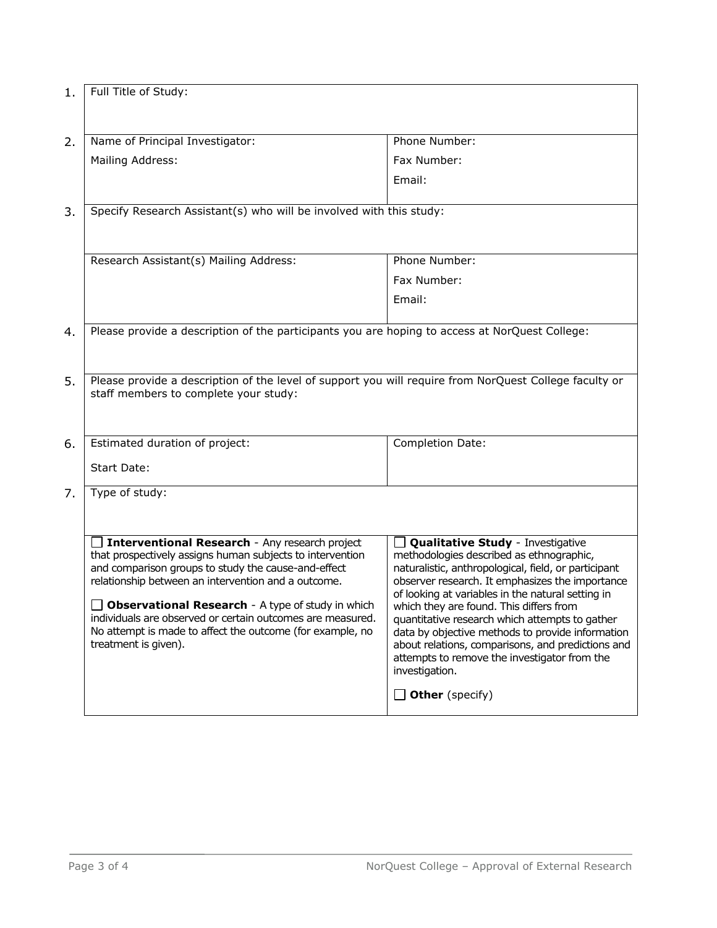| 1. | Full Title of Study:                                                                                                                                                                                                                                                                                                                                                                                                              |                                                                                                                                                                                                                                                                                                                                                                                                                                                                                                                                                        |  |
|----|-----------------------------------------------------------------------------------------------------------------------------------------------------------------------------------------------------------------------------------------------------------------------------------------------------------------------------------------------------------------------------------------------------------------------------------|--------------------------------------------------------------------------------------------------------------------------------------------------------------------------------------------------------------------------------------------------------------------------------------------------------------------------------------------------------------------------------------------------------------------------------------------------------------------------------------------------------------------------------------------------------|--|
| 2. | Name of Principal Investigator:                                                                                                                                                                                                                                                                                                                                                                                                   | Phone Number:                                                                                                                                                                                                                                                                                                                                                                                                                                                                                                                                          |  |
|    | Mailing Address:                                                                                                                                                                                                                                                                                                                                                                                                                  | Fax Number:                                                                                                                                                                                                                                                                                                                                                                                                                                                                                                                                            |  |
|    |                                                                                                                                                                                                                                                                                                                                                                                                                                   | Email:                                                                                                                                                                                                                                                                                                                                                                                                                                                                                                                                                 |  |
| 3. | Specify Research Assistant(s) who will be involved with this study:                                                                                                                                                                                                                                                                                                                                                               |                                                                                                                                                                                                                                                                                                                                                                                                                                                                                                                                                        |  |
|    | Research Assistant(s) Mailing Address:                                                                                                                                                                                                                                                                                                                                                                                            | Phone Number:                                                                                                                                                                                                                                                                                                                                                                                                                                                                                                                                          |  |
|    |                                                                                                                                                                                                                                                                                                                                                                                                                                   | Fax Number:                                                                                                                                                                                                                                                                                                                                                                                                                                                                                                                                            |  |
|    |                                                                                                                                                                                                                                                                                                                                                                                                                                   | Email:                                                                                                                                                                                                                                                                                                                                                                                                                                                                                                                                                 |  |
| 4. | Please provide a description of the participants you are hoping to access at NorQuest College:                                                                                                                                                                                                                                                                                                                                    |                                                                                                                                                                                                                                                                                                                                                                                                                                                                                                                                                        |  |
| 5. | Please provide a description of the level of support you will require from NorQuest College faculty or<br>staff members to complete your study:                                                                                                                                                                                                                                                                                   |                                                                                                                                                                                                                                                                                                                                                                                                                                                                                                                                                        |  |
| 6. | Estimated duration of project:<br>Start Date:                                                                                                                                                                                                                                                                                                                                                                                     | Completion Date:                                                                                                                                                                                                                                                                                                                                                                                                                                                                                                                                       |  |
| 7. | Type of study:                                                                                                                                                                                                                                                                                                                                                                                                                    |                                                                                                                                                                                                                                                                                                                                                                                                                                                                                                                                                        |  |
|    | Interventional Research - Any research project<br>that prospectively assigns human subjects to intervention<br>and comparison groups to study the cause-and-effect<br>relationship between an intervention and a outcome.<br>Observational Research - A type of study in which<br>individuals are observed or certain outcomes are measured.<br>No attempt is made to affect the outcome (for example, no<br>treatment is given). | <b>Qualitative Study</b> - Investigative<br>methodologies described as ethnographic,<br>naturalistic, anthropological, field, or participant<br>observer research. It emphasizes the importance<br>of looking at variables in the natural setting in<br>which they are found. This differs from<br>quantitative research which attempts to gather<br>data by objective methods to provide information<br>about relations, comparisons, and predictions and<br>attempts to remove the investigator from the<br>investigation.<br><b>Other</b> (specify) |  |